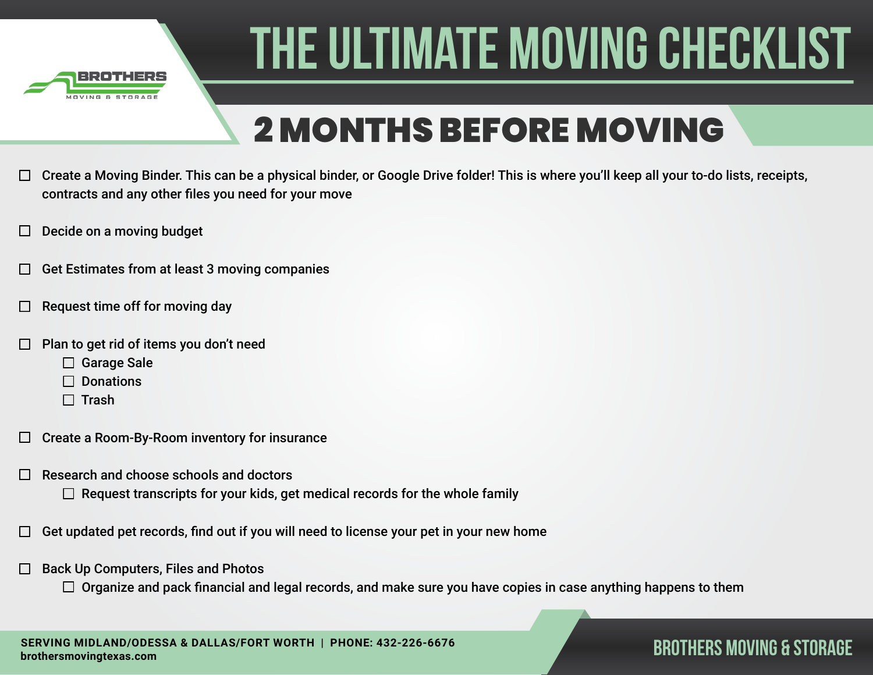

## 2 MONTHS BEFORE MOVING

- Create a Moving Binder. This can be a physical binder, or Google Drive folder! This is where you'll keep all your to-do lists, receipts,  $\Box$ contracts and any other files you need for your move
- Decide on a moving budget
- Get Estimates from at least 3 moving companies
- Request time off for moving day
- Plan to get rid of items you don't need
	- □ Garage Sale
	- $\Box$  Donations
	- $\Box$  Trash
- Create a Room-By-Room inventory for insurance  $\Box$
- Research and choose schools and doctors
	- $\Box$  Request transcripts for your kids, get medical records for the whole family
- Get updated pet records, find out if you will need to license your pet in your new home
- Back Up Computers, Files and Photos  $\Box$ 
	- $\Box$  Organize and pack financial and legal records, and make sure you have copies in case anything happens to them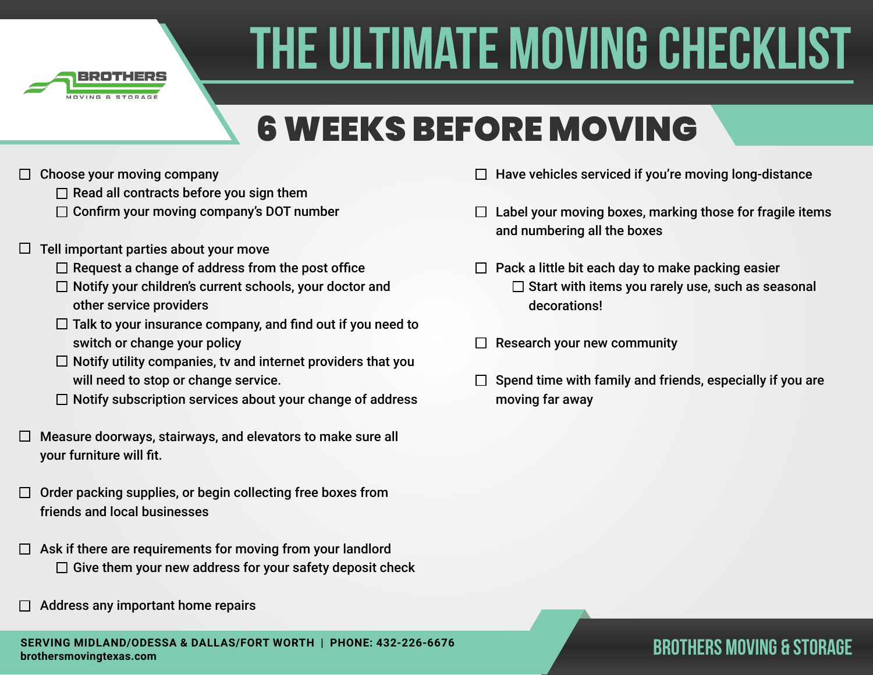

## 6 WEEKS BEFORE MOVING

- Choose your moving company  $\Box$ 
	- $\Box$  Read all contracts before you sign them
	- $\Box$  Confirm your moving company's DOT number
- $\Box$  Tell important parties about your move
	- $\Box$  Request a change of address from the post office
	- $\Box$  Notify your children's current schools, your doctor and other service providers
	- $\Box$  Talk to your insurance company, and find out if you need to switch or change your policy
	- $\Box$  Notify utility companies, tv and internet providers that you will need to stop or change service.
	- $\Box$  Notify subscription services about your change of address
- $\Box$  Measure doorways, stairways, and elevators to make sure all your furniture will fit.
- $\Box$  Order packing supplies, or begin collecting free boxes from friends and local businesses
- $\Box$  Ask if there are requirements for moving from your landlord  $\Box$  Give them your new address for your safety deposit check
- Address any important home repairs
- $\Box$  Have vehicles serviced if you're moving long-distance
- $\Box$  Label your moving boxes, marking those for fragile items and numbering all the boxes
- $\Box$  Pack a little bit each day to make packing easier  $\square$  Start with items you rarely use, such as seasonal decorations!
- Research your new community  $\Box$
- Spend time with family and friends, especially if you are moving far away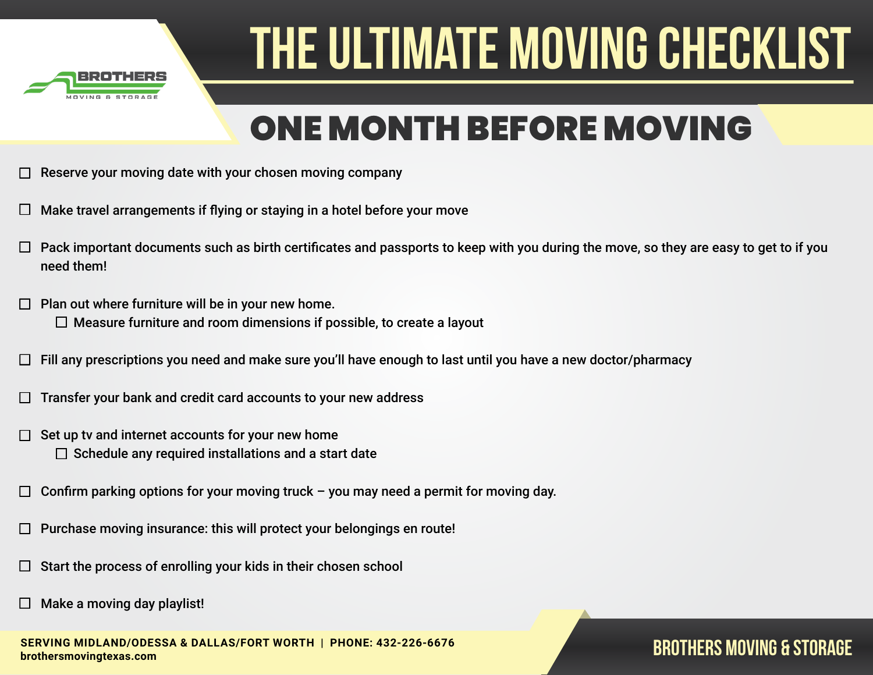

### ONE MONTH BEFORE MOVING

- Reserve your moving date with your chosen moving company
- Make travel arrangements if flying or staying in a hotel before your move
- Pack important documents such as birth certificates and passports to keep with you during the move, so they are easy to get to if you need them!
- Plan out where furniture will be in your new home. П.  $\Box$  Measure furniture and room dimensions if possible, to create a layout
- Fill any prescriptions you need and make sure you'll have enough to last until you have a new doctor/pharmacy
- Transfer your bank and credit card accounts to your new address
- Set up tv and internet accounts for your new home □  $\Box$  Schedule any required installations and a start date
- Confirm parking options for your moving truck you may need a permit for moving day. П
- Purchase moving insurance: this will protect your belongings en route!
- Start the process of enrolling your kids in their chosen school
- Make a moving day playlist!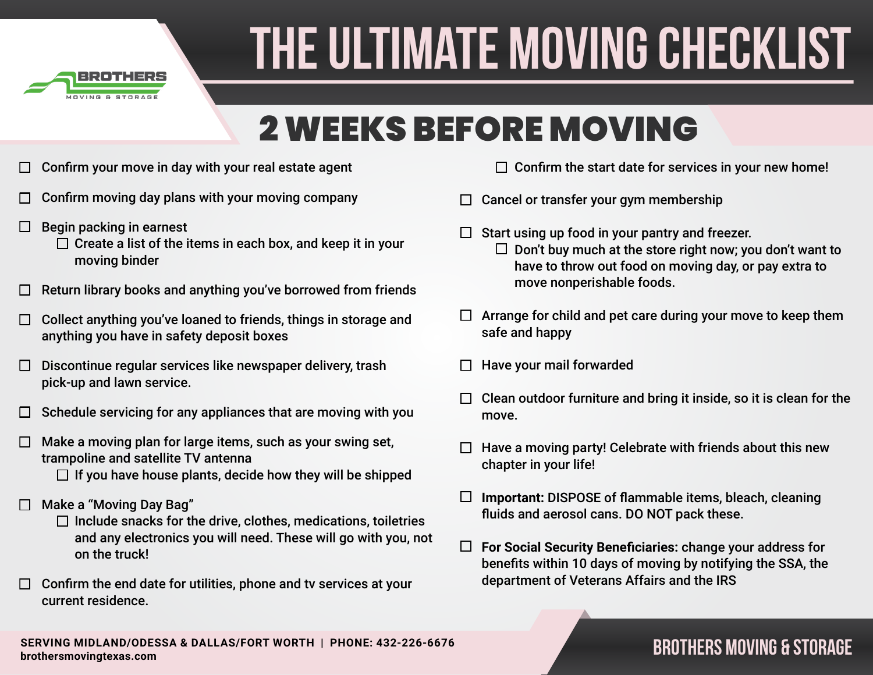

### 2 WEEKS BEFORE MOVING

- Confirm your move in day with your real estate agent  $\Box$
- Confirm moving day plans with your moving company
- Begin packing in earnest  $\Box$ 
	- $\Box$  Create a list of the items in each box, and keep it in your moving binder
- Return library books and anything you've borrowed from friends
- Collect anything you've loaned to friends, things in storage and  $\Box$ anything you have in safety deposit boxes
- Discontinue regular services like newspaper delivery, trash  $\Box$ pick-up and lawn service.
- Schedule servicing for any appliances that are moving with you П
- Make a moving plan for large items, such as your swing set, П trampoline and satellite TV antenna
	- $\Box$  If you have house plants, decide how they will be shipped
- Make a "Moving Day Bag"
	- $\Box$  Include snacks for the drive, clothes, medications, toiletries and any electronics you will need. These will go with you, not on the truck!
- $\Box$  Confirm the end date for utilities, phone and tv services at your current residence.
- $\Box$  Confirm the start date for services in your new home!
- Cancel or transfer your gym membership  $\Box$ 
	- Start using up food in your pantry and freezer.  $\Box$  Don't buy much at the store right now; you don't want to have to throw out food on moving day, or pay extra to move nonperishable foods.
- $\Box$  Arrange for child and pet care during your move to keep them safe and happy
- Have your mail forwarded
- Clean outdoor furniture and bring it inside, so it is clean for the move.
- Have a moving party! Celebrate with friends about this new chapter in your life!
- $\Box$ **Important:** DISPOSE of flammable items, bleach, cleaning fluids and aerosol cans. DO NOT pack these.
- $\Box$ **For Social Security Beneficiaries:** change your address for benefits within 10 days of moving by notifying the SSA, the department of Veterans Affairs and the IRS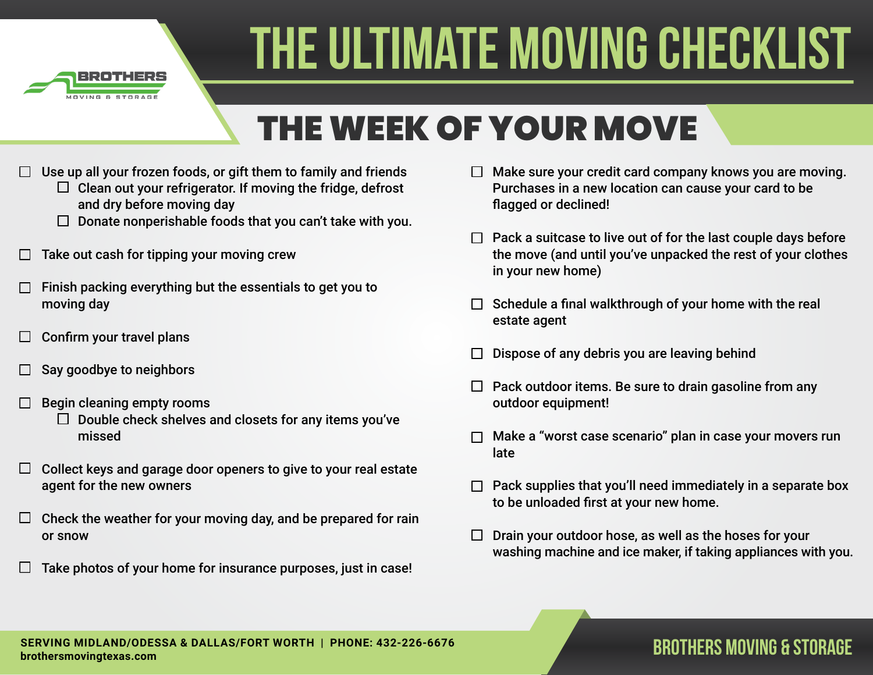

## THE WEEK OF YOUR MOVE

- Use up all your frozen foods, or gift them to family and friends
	- $\Box$  Clean out your refrigerator. If moving the fridge, defrost and dry before moving day
	- $\Box$  Donate nonperishable foods that you can't take with you.
- Take out cash for tipping your moving crew
- Finish packing everything but the essentials to get you to moving day
- Confirm your travel plans  $\Box$
- Say goodbye to neighbors
- Begin cleaning empty rooms
	- $\Box$  Double check shelves and closets for any items you've missed
- Collect keys and garage door openers to give to your real estate □ agent for the new owners
- Check the weather for your moving day, and be prepared for rain  $\Box$ or snow
- Take photos of your home for insurance purposes, just in case!  $\mathbf{L}$
- $\Box$  Make sure your credit card company knows you are moving. Purchases in a new location can cause your card to be flagged or declined!
- $\Box$  Pack a suitcase to live out of for the last couple days before the move (and until you've unpacked the rest of your clothes in your new home)
- $\Box$  Schedule a final walkthrough of your home with the real estate agent
- Dispose of any debris you are leaving behind
- $\Box$  Pack outdoor items. Be sure to drain gasoline from any outdoor equipment!
- Make a "worst case scenario" plan in case your movers run late
- Pack supplies that you'll need immediately in a separate box to be unloaded first at your new home.
- $\Box$  Drain your outdoor hose, as well as the hoses for your washing machine and ice maker, if taking appliances with you.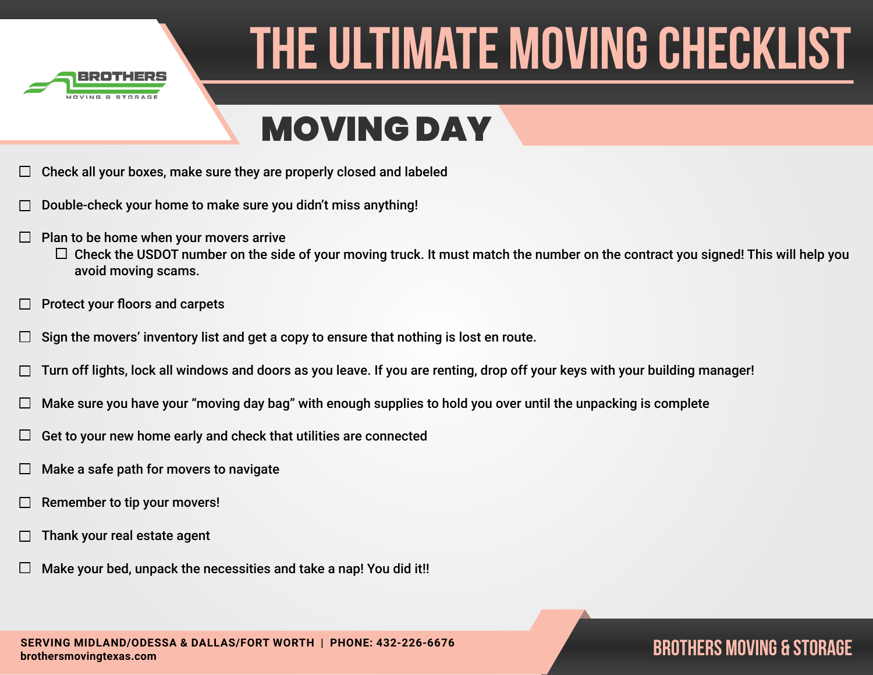

### MOVING DAY

- Check all your boxes, make sure they are properly closed and labeled
- Double-check your home to make sure you didn't miss anything!
- $\Box$ Plan to be home when your movers arrive
	- $\Box$  Check the USDOT number on the side of your moving truck. It must match the number on the contract you signed! This will help you avoid moving scams.
- Protect your floors and carpets
- Sign the movers' inventory list and get a copy to ensure that nothing is lost en route.  $\Box$
- Turn off lights, lock all windows and doors as you leave. If you are renting, drop off your keys with your building manager!
- Make sure you have your "moving day bag" with enough supplies to hold you over until the unpacking is complete
- Get to your new home early and check that utilities are connected ⊔
- Make a safe path for movers to navigate
- Remember to tip your movers!
- Thank your real estate agent
- Make your bed, unpack the necessities and take a nap! You did it!!